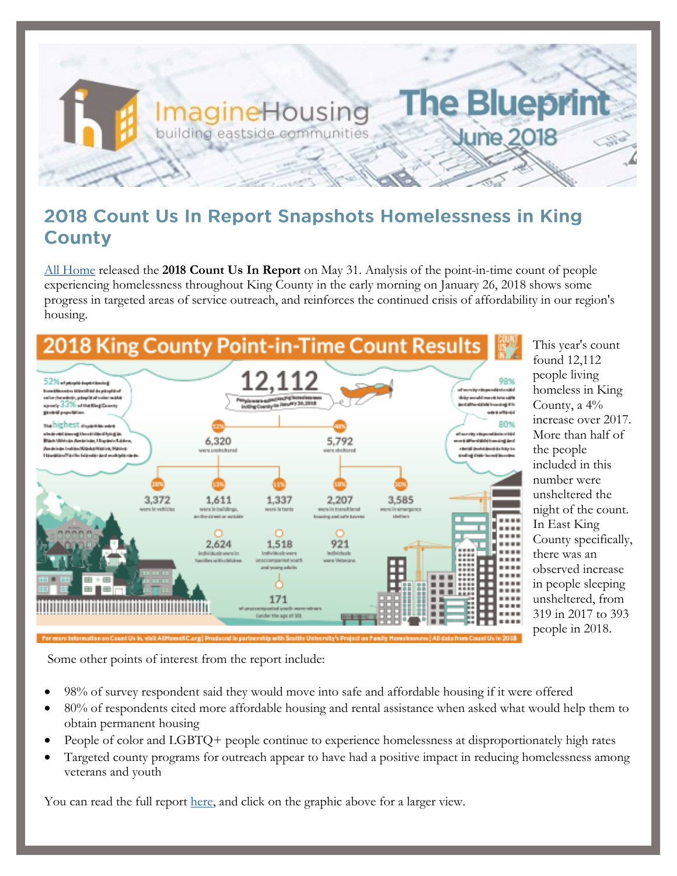

### 2018 Count Us In Report Snapshots Homelessness in King **County**

[All Home](http://allhomekc.org/king-county-point-in-time-pit-count/) released the **2018 Count Us In Report** on May 31. Analysis of the point-in-time count of people experiencing homelessness throughout King County in the early morning on January 26, 2018 shows some progress in targeted areas of service outreach, and reinforces the continued crisis of affordability in our region's housing.



This year's count found 12,112 people living homeless in King County, a 4% increase over 2017. More than half of the people included in this number were unsheltered the night of the count. In East King County specifically, there was an observed increase in people sleeping unsheltered, from 319 in 2017 to 393 people in 2018.

Some other points of interest from the report include:

- 98% of survey respondent said they would move into safe and affordable housing if it were offered
- 80% of respondents cited more affordable housing and rental assistance when asked what would help them to obtain permanent housing
- People of color and LGBTQ+ people continue to experience homelessness at disproportionately high rates
- Targeted county programs for outreach appear to have had a positive impact in reducing homelessness among veterans and youth

You can read the full report [here,](http://allhomekc.org/wp-content/uploads/2018/05/FINALDRAFT-COUNTUSIN2018REPORT-5.25.18.pdf) and click on the graphic above for a larger view.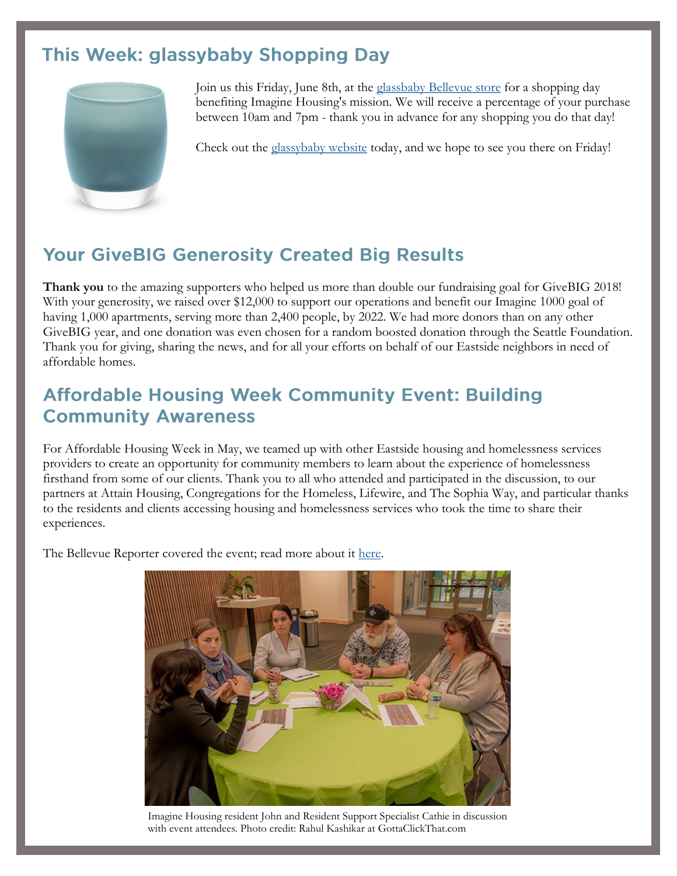# This Week: glassybaby Shopping Day



Join us this Friday, June 8th, at the [glassbaby Bellevue store](https://www.google.com/maps/place/glassybaby+bellevue/@47.6104594,-122.203563,15z/data=!4m5!3m4!1s0x0:0xf9b06973234675d6!8m2!3d47.6104594!4d-122.203563) for a shopping day benefiting Imagine Housing's mission. We will receive a percentage of your purchase between 10am and 7pm - thank you in advance for any shopping you do that day!

Check out the [glassybaby website](http://www.glassybaby.com/search) today, and we hope to see you there on Friday!

# **Your GiveBIG Generosity Created Big Results**

**Thank you** to the amazing supporters who helped us more than double our fundraising goal for GiveBIG 2018! With your generosity, we raised over \$12,000 to support our operations and benefit our Imagine 1000 goal of having 1,000 apartments, serving more than 2,400 people, by 2022. We had more donors than on any other GiveBIG year, and one donation was even chosen for a random boosted donation through the Seattle Foundation. Thank you for giving, sharing the news, and for all your efforts on behalf of our Eastside neighbors in need of affordable homes.

#### **Affordable Housing Week Community Event: Building Community Awareness**

For Affordable Housing Week in May, we teamed up with other Eastside housing and homelessness services providers to create an opportunity for community members to learn about the experience of homelessness firsthand from some of our clients. Thank you to all who attended and participated in the discussion, to our partners at Attain Housing, Congregations for the Homeless, Lifewire, and The Sophia Way, and particular thanks to the residents and clients accessing housing and homelessness services who took the time to share their experiences.

The Bellevue Reporter covered the event; read more about it [here.](https://www.bellevuereporter.com/news/bellevue-groups-discuss-homelessness-and-affordable-housing-at-community-events/)



Imagine Housing resident John and Resident Support Specialist Cathie in discussion with event attendees. Photo credit: Rahul Kashikar at GottaClickThat.com